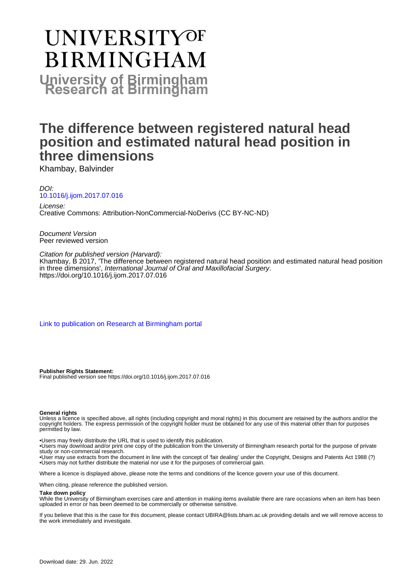# **UNIVERSITYOF BIRMINGHAM University of Birmingham**

# **The difference between registered natural head position and estimated natural head position in three dimensions**

Khambay, Balvinder

DOI: [10.1016/j.ijom.2017.07.016](https://doi.org/10.1016/j.ijom.2017.07.016)

License: Creative Commons: Attribution-NonCommercial-NoDerivs (CC BY-NC-ND)

Document Version Peer reviewed version

Citation for published version (Harvard):

Khambay, B 2017, 'The difference between registered natural head position and estimated natural head position in three dimensions', International Journal of Oral and Maxillofacial Surgery. <https://doi.org/10.1016/j.ijom.2017.07.016>

[Link to publication on Research at Birmingham portal](https://birmingham.elsevierpure.com/en/publications/536ad409-4852-4b65-b943-d31e247ee08f)

**Publisher Rights Statement:** Final published version see https://doi.org/10.1016/j.ijom.2017.07.016

#### **General rights**

Unless a licence is specified above, all rights (including copyright and moral rights) in this document are retained by the authors and/or the copyright holders. The express permission of the copyright holder must be obtained for any use of this material other than for purposes permitted by law.

• Users may freely distribute the URL that is used to identify this publication.

• Users may download and/or print one copy of the publication from the University of Birmingham research portal for the purpose of private study or non-commercial research.

• User may use extracts from the document in line with the concept of 'fair dealing' under the Copyright, Designs and Patents Act 1988 (?) • Users may not further distribute the material nor use it for the purposes of commercial gain.

Where a licence is displayed above, please note the terms and conditions of the licence govern your use of this document.

When citing, please reference the published version.

#### **Take down policy**

While the University of Birmingham exercises care and attention in making items available there are rare occasions when an item has been uploaded in error or has been deemed to be commercially or otherwise sensitive.

If you believe that this is the case for this document, please contact UBIRA@lists.bham.ac.uk providing details and we will remove access to the work immediately and investigate.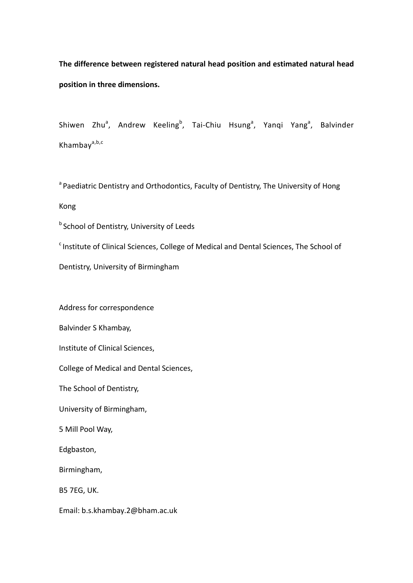**The difference between registered natural head position and estimated natural head position in three dimensions.**

Shiwen Zhu<sup>a</sup>, Andrew Keeling<sup>b</sup>, Tai-Chiu Hsung<sup>a</sup>, Yanqi Yang<sup>a</sup>, Balvinder Khambay<sup>a,b,c</sup>

<sup>a</sup> Paediatric Dentistry and Orthodontics, Faculty of Dentistry, The University of Hong Kong

**b** School of Dentistry, University of Leeds

<sup>c</sup> Institute of Clinical Sciences, College of Medical and Dental Sciences, The School of

Dentistry, University of Birmingham

Address for correspondence

Balvinder S Khambay,

Institute of Clinical Sciences,

College of Medical and Dental Sciences,

The School of Dentistry,

University of Birmingham,

5 Mill Pool Way,

Edgbaston,

Birmingham,

B5 7EG, UK.

Email: b.s.khambay.2@bham.ac.uk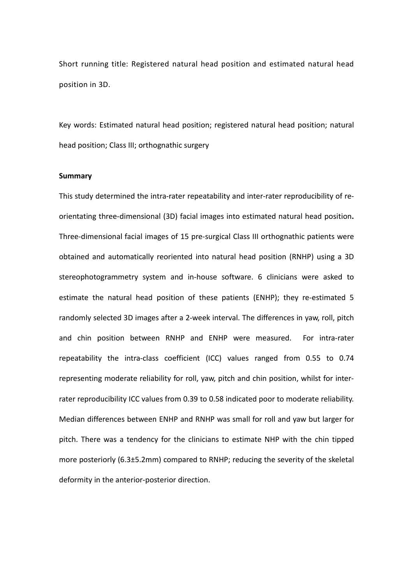Short running title: Registered natural head position and estimated natural head position in 3D.

Key words: Estimated natural head position; registered natural head position; natural head position; Class III; orthognathic surgery

#### **Summary**

This study determined the intra-rater repeatability and inter-rater reproducibility of reorientating three-dimensional (3D) facial images into estimated natural head position**.**  Three-dimensional facial images of 15 pre-surgical Class III orthognathic patients were obtained and automatically reoriented into natural head position (RNHP) using a 3D stereophotogrammetry system and in-house software. 6 clinicians were asked to estimate the natural head position of these patients (ENHP); they re-estimated 5 randomly selected 3D images after a 2-week interval. The differences in yaw, roll, pitch and chin position between RNHP and ENHP were measured. For intra-rater repeatability the intra-class coefficient (ICC) values ranged from 0.55 to 0.74 representing moderate reliability for roll, yaw, pitch and chin position, whilst for interrater reproducibility ICC values from 0.39 to 0.58 indicated poor to moderate reliability. Median differences between ENHP and RNHP was small for roll and yaw but larger for pitch. There was a tendency for the clinicians to estimate NHP with the chin tipped more posteriorly (6.3±5.2mm) compared to RNHP; reducing the severity of the skeletal deformity in the anterior-posterior direction.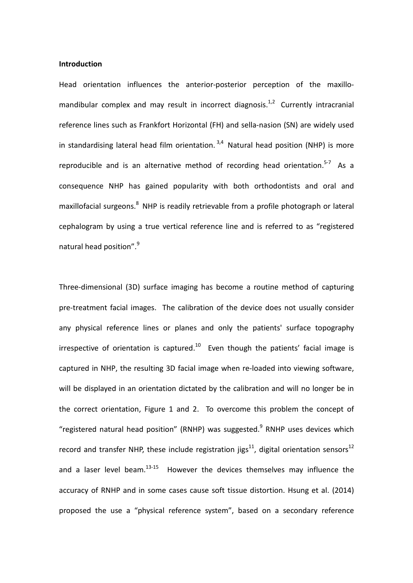#### **Introduction**

Head orientation influences the anterior-posterior perception of the maxillomandibular complex and may result in incorrect diagnosis.<sup>1,2</sup> Currently intracranial reference lines such as Frankfort Horizontal (FH) and sella-nasion (SN) are widely used in standardising lateral head film orientation.<sup>3,4</sup> Natural head position (NHP) is more reproducible and is an alternative method of recording head orientation.<sup>5-7</sup> As a consequence NHP has gained popularity with both orthodontists and oral and maxillofacial surgeons.<sup>8</sup> NHP is readily retrievable from a profile photograph or lateral cephalogram by using a true vertical reference line and is referred to as "registered natural head position".<sup>9</sup>

Three-dimensional (3D) surface imaging has become a routine method of capturing pre-treatment facial images. The calibration of the device does not usually consider any physical reference lines or planes and only the patients' surface topography irrespective of orientation is captured.<sup>10</sup> Even though the patients' facial image is captured in NHP, the resulting 3D facial image when re-loaded into viewing software, will be displayed in an orientation dictated by the calibration and will no longer be in the correct orientation, Figure 1 and 2. To overcome this problem the concept of "registered natural head position" (RNHP) was suggested. $9$  RNHP uses devices which record and transfer NHP, these include registration jigs<sup>11</sup>, digital orientation sensors<sup>12</sup> and a laser level beam.<sup>13-15</sup> However the devices themselves may influence the accuracy of RNHP and in some cases cause soft tissue distortion. Hsung et al. (2014) proposed the use a "physical reference system", based on a secondary reference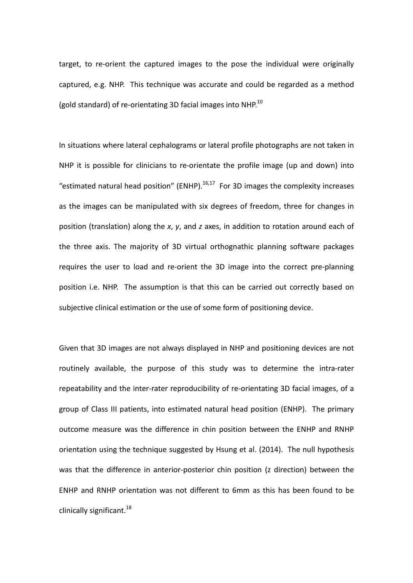target, to re-orient the captured images to the pose the individual were originally captured, e.g. NHP. This technique was accurate and could be regarded as a method (gold standard) of re-orientating 3D facial images into NHP. $^{10}$ 

In situations where lateral cephalograms or lateral profile photographs are not taken in NHP it is possible for clinicians to re-orientate the profile image (up and down) into "estimated natural head position" (ENHP). $16,17$  For 3D images the complexity increases as the images can be manipulated with six degrees of freedom, three for changes in position (translation) along the *x*, *y*, and *z* axes, in addition to rotation around each of the three axis. The majority of 3D virtual orthognathic planning software packages requires the user to load and re-orient the 3D image into the correct pre-planning position i.e. NHP. The assumption is that this can be carried out correctly based on subjective clinical estimation or the use of some form of positioning device.

Given that 3D images are not always displayed in NHP and positioning devices are not routinely available, the purpose of this study was to determine the intra-rater repeatability and the inter-rater reproducibility of re-orientating 3D facial images, of a group of Class III patients, into estimated natural head position (ENHP). The primary outcome measure was the difference in chin position between the ENHP and RNHP orientation using the technique suggested by Hsung et al. (2014). The null hypothesis was that the difference in anterior-posterior chin position (z direction) between the ENHP and RNHP orientation was not different to 6mm as this has been found to be clinically significant.<sup>18</sup>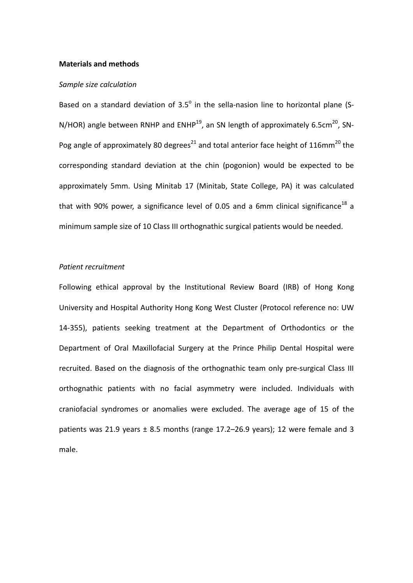#### **Materials and methods**

#### *Sample size calculation*

Based on a standard deviation of  $3.5^\circ$  in the sella-nasion line to horizontal plane (S-N/HOR) angle between RNHP and  $EMHP^{19}$ , an SN length of approximately 6.5cm<sup>20</sup>, SN-Pog angle of approximately 80 degrees<sup>21</sup> and total anterior face height of 116mm<sup>20</sup> the corresponding standard deviation at the chin (pogonion) would be expected to be approximately 5mm. Using Minitab 17 (Minitab, State College, PA) it was calculated that with 90% power, a significance level of 0.05 and a 6mm clinical significance<sup>18</sup> a minimum sample size of 10 Class III orthognathic surgical patients would be needed.

#### *Patient recruitment*

Following ethical approval by the Institutional Review Board (IRB) of Hong Kong University and Hospital Authority Hong Kong West Cluster (Protocol reference no: UW 14-355), patients seeking treatment at the Department of Orthodontics or the Department of Oral Maxillofacial Surgery at the Prince Philip Dental Hospital were recruited. Based on the diagnosis of the orthognathic team only pre-surgical Class III orthognathic patients with no facial asymmetry were included. Individuals with craniofacial syndromes or anomalies were excluded. The average age of 15 of the patients was 21.9 years  $\pm$  8.5 months (range 17.2–26.9 years); 12 were female and 3 male.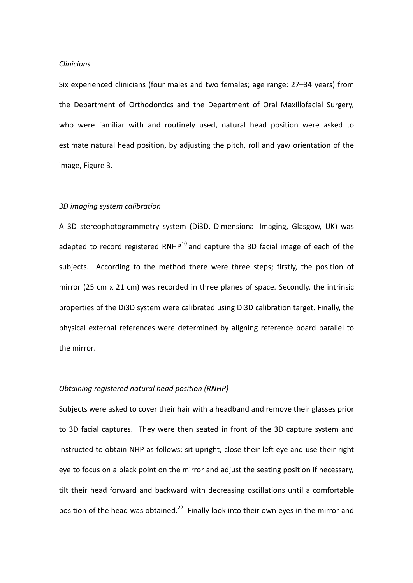#### *Clinicians*

Six experienced clinicians (four males and two females; age range: 27–34 years) from the Department of Orthodontics and the Department of Oral Maxillofacial Surgery, who were familiar with and routinely used, natural head position were asked to estimate natural head position, by adjusting the pitch, roll and yaw orientation of the image, Figure 3.

#### *3D imaging system calibration*

A 3D stereophotogrammetry system (Di3D, Dimensional Imaging, Glasgow, UK) was adapted to record registered RNHP $^{10}$  and capture the 3D facial image of each of the subjects. According to the method there were three steps; firstly, the position of mirror (25 cm x 21 cm) was recorded in three planes of space. Secondly, the intrinsic properties of the Di3D system were calibrated using Di3D calibration target. Finally, the physical external references were determined by aligning reference board parallel to the mirror.

#### *Obtaining registered natural head position (RNHP)*

Subjects were asked to cover their hair with a headband and remove their glasses prior to 3D facial captures. They were then seated in front of the 3D capture system and instructed to obtain NHP as follows: sit upright, close their left eye and use their right eye to focus on a black point on the mirror and adjust the seating position if necessary, tilt their head forward and backward with decreasing oscillations until a comfortable position of the head was obtained.<sup>22</sup> Finally look into their own eyes in the mirror and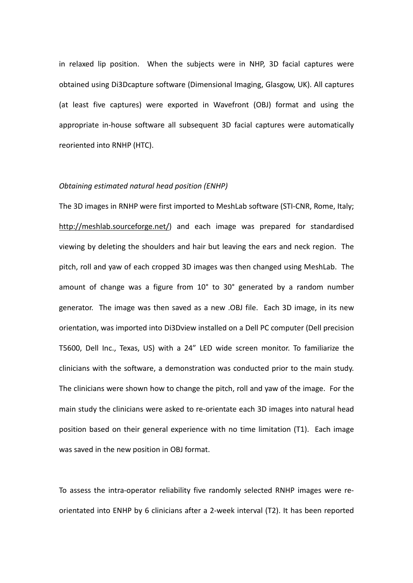in relaxed lip position. When the subjects were in NHP, 3D facial captures were obtained using Di3Dcapture software (Dimensional Imaging, Glasgow, UK). All captures (at least five captures) were exported in Wavefront (OBJ) format and using the appropriate in-house software all subsequent 3D facial captures were automatically reoriented into RNHP (HTC).

#### *Obtaining estimated natural head position (ENHP)*

The 3D images in RNHP were first imported to MeshLab software (STI-CNR, Rome, Italy; http://meshlab.sourceforge.net/) and each image was prepared for standardised viewing by deleting the shoulders and hair but leaving the ears and neck region. The pitch, roll and yaw of each cropped 3D images was then changed using MeshLab. The amount of change was a figure from 10° to 30° generated by a random number generator. The image was then saved as a new .OBJ file. Each 3D image, in its new orientation, was imported into Di3Dview installed on a Dell PC computer (Dell precision T5600, Dell Inc., Texas, US) with a 24" LED wide screen monitor. To familiarize the clinicians with the software, a demonstration was conducted prior to the main study. The clinicians were shown how to change the pitch, roll and yaw of the image. For the main study the clinicians were asked to re-orientate each 3D images into natural head position based on their general experience with no time limitation (T1). Each image was saved in the new position in OBJ format.

To assess the intra-operator reliability five randomly selected RNHP images were reorientated into ENHP by 6 clinicians after a 2-week interval (T2). It has been reported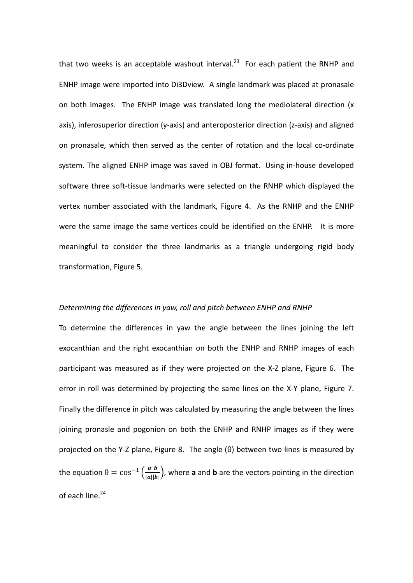that two weeks is an acceptable washout interval.<sup>23</sup> For each patient the RNHP and ENHP image were imported into Di3Dview. A single landmark was placed at pronasale on both images. The ENHP image was translated long the mediolateral direction (x axis), inferosuperior direction (y-axis) and anteroposterior direction (z-axis) and aligned on pronasale, which then served as the center of rotation and the local co-ordinate system. The aligned ENHP image was saved in OBJ format. Using in-house developed software three soft-tissue landmarks were selected on the RNHP which displayed the vertex number associated with the landmark, Figure 4. As the RNHP and the ENHP were the same image the same vertices could be identified on the ENHP. It is more meaningful to consider the three landmarks as a triangle undergoing rigid body transformation, Figure 5.

### *Determining the differences in yaw, roll and pitch between ENHP and RNHP*

To determine the differences in yaw the angle between the lines joining the left exocanthian and the right exocanthian on both the ENHP and RNHP images of each participant was measured as if they were projected on the X-Z plane, Figure 6. The error in roll was determined by projecting the same lines on the X-Y plane, Figure 7. Finally the difference in pitch was calculated by measuring the angle between the lines joining pronasle and pogonion on both the ENHP and RNHP images as if they were projected on the Y-Z plane, Figure 8. The angle (θ) between two lines is measured by the equation  $\theta = \cos^{-1}\left(\frac{a \cdot b}{|a||b|}\right)$ , where **a** and **b** are the vectors pointing in the direction of each line.<sup>24</sup>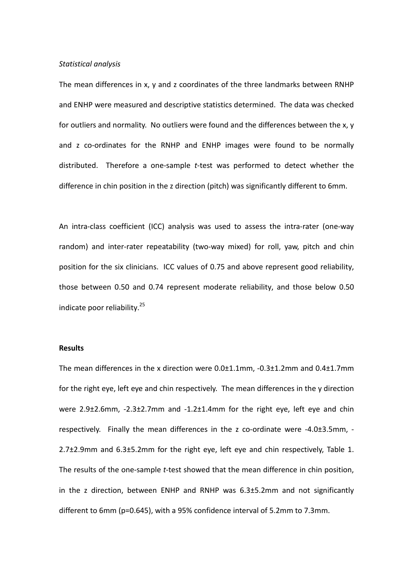#### *Statistical analysis*

The mean differences in x, y and z coordinates of the three landmarks between RNHP and ENHP were measured and descriptive statistics determined. The data was checked for outliers and normality. No outliers were found and the differences between the x, y and z co-ordinates for the RNHP and ENHP images were found to be normally distributed. Therefore a one-sample *t*-test was performed to detect whether the difference in chin position in the z direction (pitch) was significantly different to 6mm.

An intra-class coefficient (ICC) analysis was used to assess the intra-rater (one-way random) and inter-rater repeatability (two-way mixed) for roll, yaw, pitch and chin position for the six clinicians. ICC values of 0.75 and above represent good reliability, those between 0.50 and 0.74 represent moderate reliability, and those below 0.50 indicate poor reliability. 25

#### **Results**

The mean differences in the x direction were  $0.0\pm1.1$ mm,  $-0.3\pm1.2$ mm and  $0.4\pm1.7$ mm for the right eye, left eye and chin respectively. The mean differences in the y direction were 2.9±2.6mm, -2.3±2.7mm and -1.2±1.4mm for the right eye, left eye and chin respectively. Finally the mean differences in the z co-ordinate were -4.0±3.5mm, - 2.7±2.9mm and 6.3±5.2mm for the right eye, left eye and chin respectively, Table 1. The results of the one-sample *t*-test showed that the mean difference in chin position, in the z direction, between ENHP and RNHP was 6.3±5.2mm and not significantly different to 6mm (p=0.645), with a 95% confidence interval of 5.2mm to 7.3mm.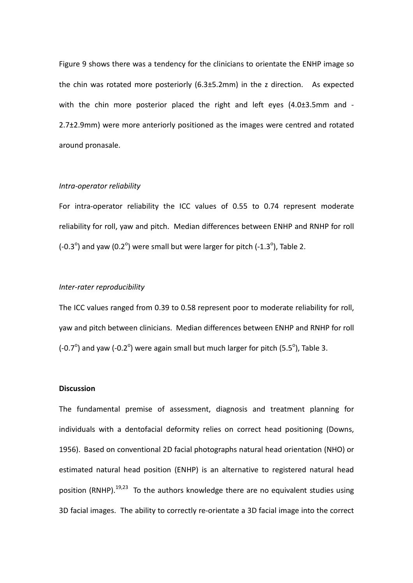Figure 9 shows there was a tendency for the clinicians to orientate the ENHP image so the chin was rotated more posteriorly (6.3±5.2mm) in the z direction. As expected with the chin more posterior placed the right and left eyes (4.0±3.5mm and -2.7±2.9mm) were more anteriorly positioned as the images were centred and rotated around pronasale.

#### *Intra-operator reliability*

For intra-operator reliability the ICC values of 0.55 to 0.74 represent moderate reliability for roll, yaw and pitch. Median differences between ENHP and RNHP for roll (-0.3 $^{\circ}$ ) and yaw (0.2 $^{\circ}$ ) were small but were larger for pitch (-1.3 $^{\circ}$ ), Table 2.

#### *Inter-rater reproducibility*

The ICC values ranged from 0.39 to 0.58 represent poor to moderate reliability for roll, yaw and pitch between clinicians. Median differences between ENHP and RNHP for roll (-0.7 $^{\circ}$ ) and yaw (-0.2 $^{\circ}$ ) were again small but much larger for pitch (5.5 $^{\circ}$ ), Table 3.

#### **Discussion**

The fundamental premise of assessment, diagnosis and treatment planning for individuals with a dentofacial deformity relies on correct head positioning (Downs, 1956). Based on conventional 2D facial photographs natural head orientation (NHO) or estimated natural head position (ENHP) is an alternative to registered natural head position (RNHP).<sup>19,23</sup> To the authors knowledge there are no equivalent studies using 3D facial images. The ability to correctly re-orientate a 3D facial image into the correct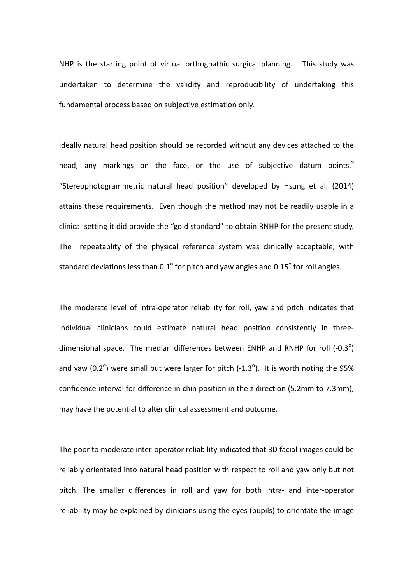NHP is the starting point of virtual orthognathic surgical planning. This study was undertaken to determine the validity and reproducibility of undertaking this fundamental process based on subjective estimation only.

Ideally natural head position should be recorded without any devices attached to the head, any markings on the face, or the use of subjective datum points.<sup>9</sup> "Stereophotogrammetric natural head position" developed by Hsung et al. (2014) attains these requirements. Even though the method may not be readily usable in a clinical setting it did provide the "gold standard" to obtain RNHP for the present study. The repeatablity of the physical reference system was clinically acceptable, with standard deviations less than 0.1 $^{\circ}$  for pitch and yaw angles and 0.15 $^{\circ}$  for roll angles.

The moderate level of intra-operator reliability for roll, yaw and pitch indicates that individual clinicians could estimate natural head position consistently in threedimensional space. The median differences between ENHP and RNHP for roll  $(-0.3^{\circ})$ and yaw (0.2 $^{\circ}$ ) were small but were larger for pitch (-1.3 $^{\circ}$ ). It is worth noting the 95% confidence interval for difference in chin position in the z direction (5.2mm to 7.3mm), may have the potential to alter clinical assessment and outcome.

The poor to moderate inter-operator reliability indicated that 3D facial images could be reliably orientated into natural head position with respect to roll and yaw only but not pitch. The smaller differences in roll and yaw for both intra- and inter-operator reliability may be explained by clinicians using the eyes (pupils) to orientate the image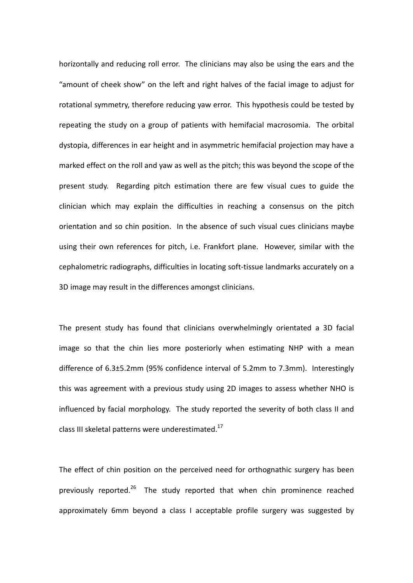horizontally and reducing roll error. The clinicians may also be using the ears and the "amount of cheek show" on the left and right halves of the facial image to adjust for rotational symmetry, therefore reducing yaw error. This hypothesis could be tested by repeating the study on a group of patients with hemifacial macrosomia. The orbital dystopia, differences in ear height and in asymmetric hemifacial projection may have a marked effect on the roll and yaw as well as the pitch; this was beyond the scope of the present study. Regarding pitch estimation there are few visual cues to guide the clinician which may explain the difficulties in reaching a consensus on the pitch orientation and so chin position. In the absence of such visual cues clinicians maybe using their own references for pitch, i.e. Frankfort plane. However, similar with the cephalometric radiographs, difficulties in locating soft-tissue landmarks accurately on a 3D image may result in the differences amongst clinicians.

The present study has found that clinicians overwhelmingly orientated a 3D facial image so that the chin lies more posteriorly when estimating NHP with a mean difference of 6.3±5.2mm (95% confidence interval of 5.2mm to 7.3mm). Interestingly this was agreement with a previous study using 2D images to assess whether NHO is influenced by facial morphology. The study reported the severity of both class II and class III skeletal patterns were underestimated.<sup>17</sup>

The effect of chin position on the perceived need for orthognathic surgery has been previously reported.<sup>26</sup> The study reported that when chin prominence reached approximately 6mm beyond a class I acceptable profile surgery was suggested by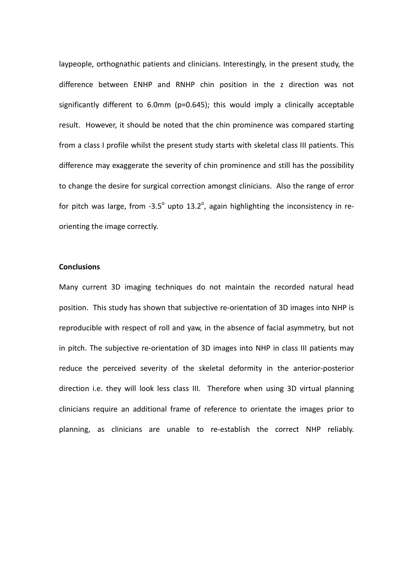laypeople, orthognathic patients and clinicians. Interestingly, in the present study, the difference between ENHP and RNHP chin position in the z direction was not significantly different to 6.0mm (p=0.645); this would imply a clinically acceptable result. However, it should be noted that the chin prominence was compared starting from a class I profile whilst the present study starts with skeletal class III patients. This difference may exaggerate the severity of chin prominence and still has the possibility to change the desire for surgical correction amongst clinicians. Also the range of error for pitch was large, from -3.5 $^{\circ}$  upto 13.2 $^{\circ}$ , again highlighting the inconsistency in reorienting the image correctly.

#### **Conclusions**

Many current 3D imaging techniques do not maintain the recorded natural head position. This study has shown that subjective re-orientation of 3D images into NHP is reproducible with respect of roll and yaw, in the absence of facial asymmetry, but not in pitch. The subjective re-orientation of 3D images into NHP in class III patients may reduce the perceived severity of the skeletal deformity in the anterior-posterior direction i.e. they will look less class III. Therefore when using 3D virtual planning clinicians require an additional frame of reference to orientate the images prior to planning, as clinicians are unable to re-establish the correct NHP reliably.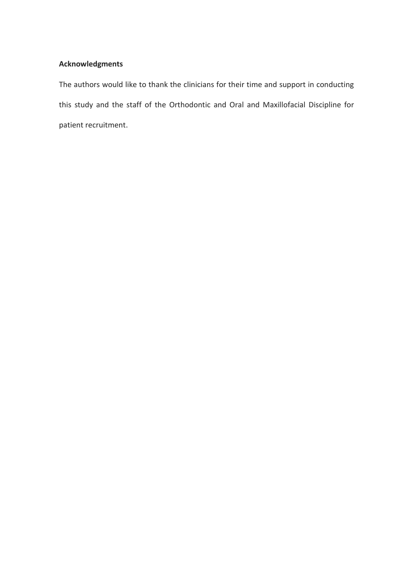## **Acknowledgments**

The authors would like to thank the clinicians for their time and support in conducting this study and the staff of the Orthodontic and Oral and Maxillofacial Discipline for patient recruitment.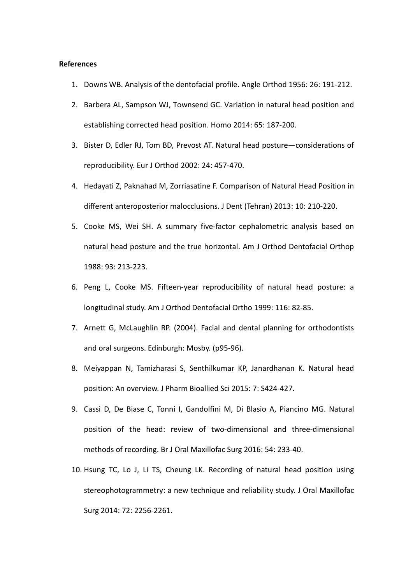#### **References**

- 1. Downs WB. Analysis of the dentofacial profile. Angle Orthod 1956: 26: 191-212.
- 2. Barbera AL, Sampson WJ, Townsend GC. Variation in natural head position and establishing corrected head position. Homo 2014: 65: 187-200.
- 3. Bister D, Edler RJ, Tom BD, Prevost AT. Natural head posture—considerations of reproducibility. Eur J Orthod 2002: 24: 457-470.
- 4. Hedayati Z, Paknahad M, Zorriasatine F. Comparison of Natural Head Position in different anteroposterior malocclusions. J Dent (Tehran) 2013: 10: 210-220.
- 5. Cooke MS, Wei SH. A summary five-factor cephalometric analysis based on natural head posture and the true horizontal. Am J Orthod Dentofacial Orthop 1988: 93: 213-223.
- 6. Peng L, Cooke MS. Fifteen-year reproducibility of natural head posture: a longitudinal study. Am J Orthod Dentofacial Ortho 1999: 116: 82-85.
- 7. Arnett G, McLaughlin RP. (2004). Facial and dental planning for orthodontists and oral surgeons. Edinburgh: Mosby. (p95-96).
- 8. Meiyappan N, Tamizharasi S, Senthilkumar KP, Janardhanan K. Natural head position: An overview. J Pharm Bioallied Sci 2015: 7: S424-427.
- 9. Cassi D, De Biase C, Tonni I, Gandolfini M, Di Blasio A, Piancino MG. Natural position of the head: review of two-dimensional and three-dimensional methods of recording. Br J Oral Maxillofac Surg 2016: 54: 233-40.
- 10. Hsung TC, Lo J, Li TS, Cheung LK. Recording of natural head position using stereophotogrammetry: a new technique and reliability study. J Oral Maxillofac Surg 2014: 72: 2256-2261.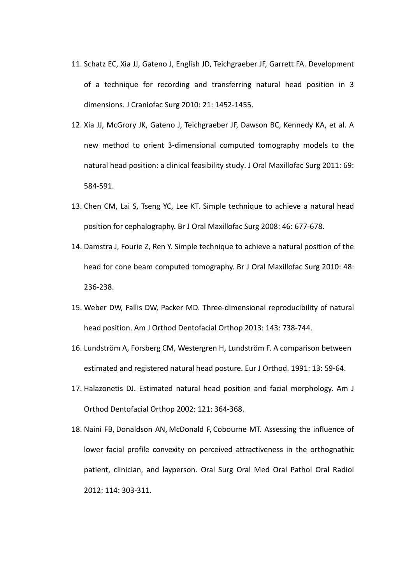- 11. Schatz EC, Xia JJ, Gateno J, English JD, Teichgraeber JF, Garrett FA. Development of a technique for recording and transferring natural head position in 3 dimensions. J Craniofac Surg 2010: 21: 1452-1455.
- 12. Xia JJ, McGrory JK, Gateno J, Teichgraeber JF, Dawson BC, Kennedy KA, et al. A new method to orient 3-dimensional computed tomography models to the natural head position: a clinical feasibility study. J Oral Maxillofac Surg 2011: 69: 584-591.
- 13. Chen CM, Lai S, Tseng YC, Lee KT. Simple technique to achieve a natural head position for cephalography. Br J Oral Maxillofac Surg 2008: 46: 677-678.
- 14. Damstra J, Fourie Z, Ren Y. Simple technique to achieve a natural position of the head for cone beam computed tomography. Br J Oral Maxillofac Surg 2010: 48: 236-238.
- 15. Weber DW, Fallis DW, Packer MD. Three-dimensional reproducibility of natural head position. Am J Orthod Dentofacial Orthop 2013: 143: 738-744.
- 16. Lundström A, Forsberg CM, Westergren H, Lundström F. A comparison between estimated and registered natural head posture. Eur J Orthod. 1991: 13: 59-64.
- 17. Halazonetis DJ. Estimated natural head position and facial morphology. Am J Orthod Dentofacial Orthop 2002: 121: 364-368.
- 18. Naini FB, Donaldson AN, McDonald F, Cobourne MT. Assessing the influence of lower facial profile convexity on perceived attractiveness in the orthognathic patient, clinician, and layperson. Oral Surg Oral Med Oral Pathol Oral Radiol 2012: 114: 303-311.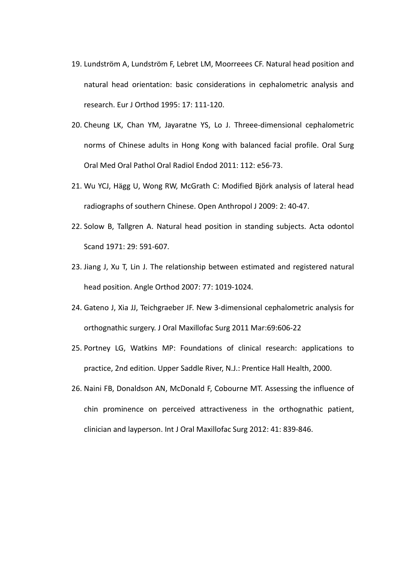- 19. Lundström A, Lundström F, Lebret LM, Moorreees CF. Natural head position and natural head orientation: basic considerations in cephalometric analysis and research. Eur J Orthod 1995: 17: 111-120.
- 20. Cheung LK, Chan YM, Jayaratne YS, Lo J. Threee-dimensional cephalometric norms of Chinese adults in Hong Kong with balanced facial profile. Oral Surg Oral Med Oral Pathol Oral Radiol Endod 2011: 112: e56-73.
- 21. Wu YCJ, Hägg U, Wong RW, McGrath C: Modified Björk analysis of lateral head radiographs of southern Chinese. Open Anthropol J 2009: 2: 40-47.
- 22. Solow B, Tallgren A. Natural head position in standing subjects. Acta odontol Scand 1971: 29: 591-607.
- 23. Jiang J, Xu T, Lin J. The relationship between estimated and registered natural head position. Angle Orthod 2007: 77: 1019-1024.
- 24. Gateno J, Xia JJ, Teichgraeber JF. New 3-dimensional cephalometric analysis for orthognathic surgery. J Oral Maxillofac Surg 2011 Mar:69:606-22
- 25. Portney LG, Watkins MP: Foundations of clinical research: applications to practice, 2nd edition. Upper Saddle River, N.J.: Prentice Hall Health, 2000.
- 26. Naini FB, Donaldson AN, McDonald F, Cobourne MT. Assessing the influence of chin prominence on perceived attractiveness in the orthognathic patient, clinician and layperson. Int J Oral Maxillofac Surg 2012: 41: 839-846.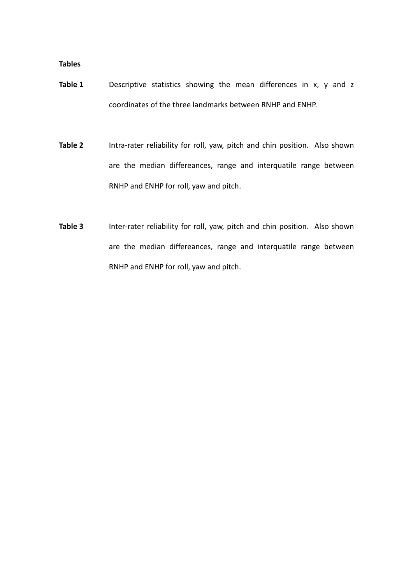**Tables**

- Table 1 Descriptive statistics showing the mean differences in x, y and z coordinates of the three landmarks between RNHP and ENHP.
- **Table 2** Intra-rater reliability for roll, yaw, pitch and chin position. Also shown are the median differeances, range and interquatile range between RNHP and ENHP for roll, yaw and pitch.
- **Table 3** Inter-rater reliability for roll, yaw, pitch and chin position. Also shown are the median differeances, range and interquatile range between RNHP and ENHP for roll, yaw and pitch.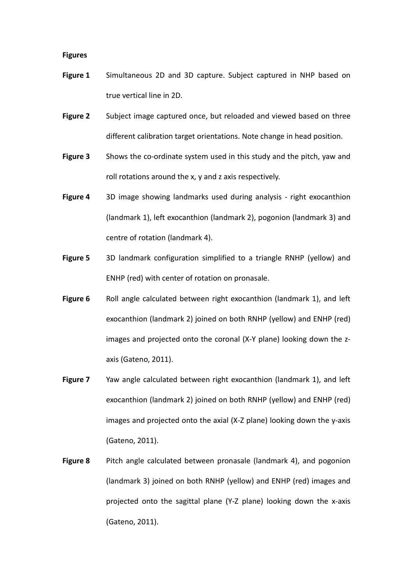#### **Figures**

- **Figure 1** Simultaneous 2D and 3D capture. Subject captured in NHP based on true vertical line in 2D.
- **Figure 2** Subject image captured once, but reloaded and viewed based on three different calibration target orientations. Note change in head position.
- **Figure 3** Shows the co-ordinate system used in this study and the pitch, yaw and roll rotations around the x, y and z axis respectively.
- **Figure 4** 3D image showing landmarks used during analysis right exocanthion (landmark 1), left exocanthion (landmark 2), pogonion (landmark 3) and centre of rotation (landmark 4).
- **Figure 5** 3D landmark configuration simplified to a triangle RNHP (yellow) and ENHP (red) with center of rotation on pronasale.
- **Figure 6** Roll angle calculated between right exocanthion (landmark 1), and left exocanthion (landmark 2) joined on both RNHP (yellow) and ENHP (red) images and projected onto the coronal (X-Y plane) looking down the zaxis (Gateno, 2011).
- **Figure 7** Yaw angle calculated between right exocanthion (landmark 1), and left exocanthion (landmark 2) joined on both RNHP (yellow) and ENHP (red) images and projected onto the axial (X-Z plane) looking down the y-axis (Gateno, 2011).
- **Figure 8** Pitch angle calculated between pronasale (landmark 4), and pogonion (landmark 3) joined on both RNHP (yellow) and ENHP (red) images and projected onto the sagittal plane (Y-Z plane) looking down the x-axis (Gateno, 2011).